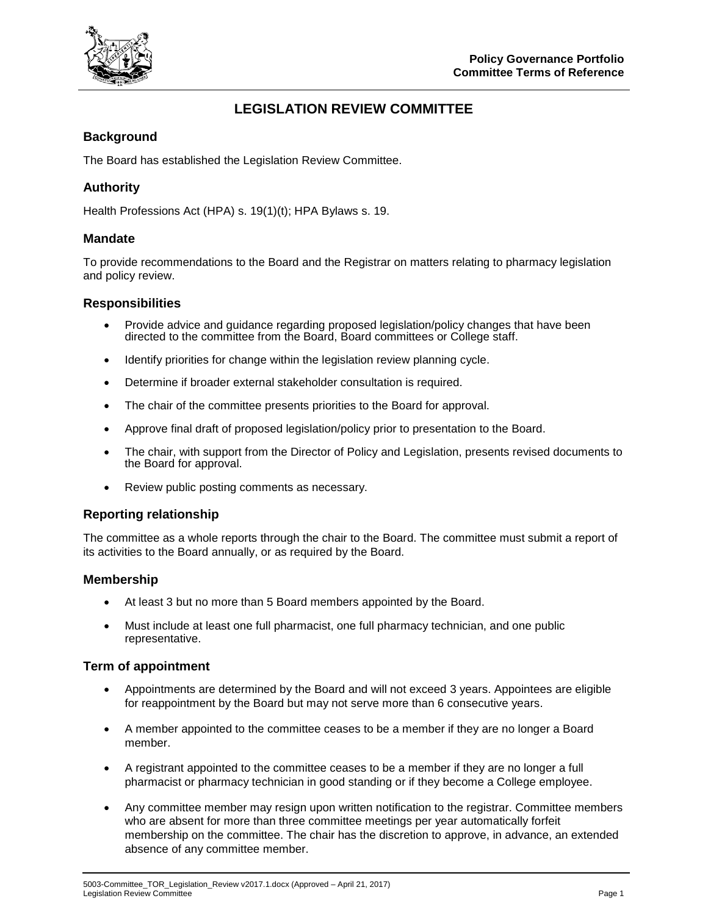

# **LEGISLATION REVIEW COMMITTEE**

### **Background**

The Board has established the Legislation Review Committee.

### **Authority**

Health Professions Act (HPA) s. 19(1)(t); HPA Bylaws s. 19.

#### **Mandate**

To provide recommendations to the Board and the Registrar on matters relating to pharmacy legislation and policy review.

#### **Responsibilities**

- Provide advice and guidance regarding proposed legislation/policy changes that have been directed to the committee from the Board, Board committees or College staff.
- Identify priorities for change within the legislation review planning cycle.
- Determine if broader external stakeholder consultation is required.
- The chair of the committee presents priorities to the Board for approval.
- Approve final draft of proposed legislation/policy prior to presentation to the Board.
- The chair, with support from the Director of Policy and Legislation, presents revised documents to the Board for approval.
- Review public posting comments as necessary.

#### **Reporting relationship**

The committee as a whole reports through the chair to the Board. The committee must submit a report of its activities to the Board annually, or as required by the Board.

#### **Membership**

- At least 3 but no more than 5 Board members appointed by the Board.
- Must include at least one full pharmacist, one full pharmacy technician, and one public representative.

#### **Term of appointment**

- Appointments are determined by the Board and will not exceed 3 years. Appointees are eligible for reappointment by the Board but may not serve more than 6 consecutive years.
- A member appointed to the committee ceases to be a member if they are no longer a Board member.
- A registrant appointed to the committee ceases to be a member if they are no longer a full pharmacist or pharmacy technician in good standing or if they become a College employee.
- Any committee member may resign upon written notification to the registrar. Committee members who are absent for more than three committee meetings per year automatically forfeit membership on the committee. The chair has the discretion to approve, in advance, an extended absence of any committee member.